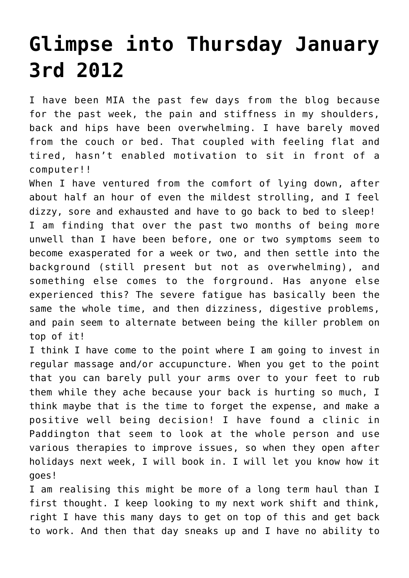## **[Glimpse into Thursday January](https://www.glimpsinggembles.com/2013/01/03/glimpse-into-thursday-january-3rd-2012/) [3rd 2012](https://www.glimpsinggembles.com/2013/01/03/glimpse-into-thursday-january-3rd-2012/)**

I have been MIA the past few days from the blog because for the past week, the pain and stiffness in my shoulders, back and hips have been overwhelming. I have barely moved from the couch or bed. That coupled with feeling flat and tired, hasn't enabled motivation to sit in front of a computer!!

When I have ventured from the comfort of lying down, after about half an hour of even the mildest strolling, and I feel dizzy, sore and exhausted and have to go back to bed to sleep! I am finding that over the past two months of being more unwell than I have been before, one or two symptoms seem to become exasperated for a week or two, and then settle into the background (still present but not as overwhelming), and something else comes to the forground. Has anyone else experienced this? The severe fatigue has basically been the same the whole time, and then dizziness, digestive problems, and pain seem to alternate between being the killer problem on top of it!

I think I have come to the point where I am going to invest in regular massage and/or accupuncture. When you get to the point that you can barely pull your arms over to your feet to rub them while they ache because your back is hurting so much, I think maybe that is the time to forget the expense, and make a positive well being decision! I have found a clinic in Paddington that seem to look at the whole person and use various therapies to improve issues, so when they open after holidays next week, I will book in. I will let you know how it goes!

I am realising this might be more of a long term haul than I first thought. I keep looking to my next work shift and think, right I have this many days to get on top of this and get back to work. And then that day sneaks up and I have no ability to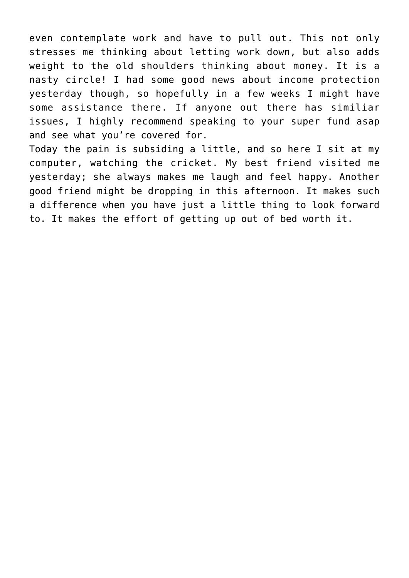even contemplate work and have to pull out. This not only stresses me thinking about letting work down, but also adds weight to the old shoulders thinking about money. It is a nasty circle! I had some good news about income protection yesterday though, so hopefully in a few weeks I might have some assistance there. If anyone out there has similiar issues, I highly recommend speaking to your super fund asap and see what you're covered for.

Today the pain is subsiding a little, and so here I sit at my computer, watching the cricket. My best friend visited me yesterday; she always makes me laugh and feel happy. Another good friend might be dropping in this afternoon. It makes such a difference when you have just a little thing to look forward to. It makes the effort of getting up out of bed worth it.